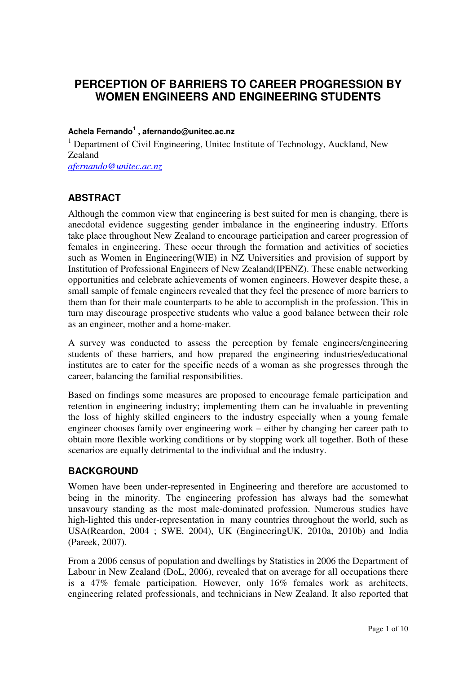# **PERCEPTION OF BARRIERS TO CAREER PROGRESSION BY WOMEN ENGINEERS AND ENGINEERING STUDENTS**

#### **Achela Fernando<sup>1</sup> , afernando@unitec.ac.nz**

<sup>1</sup> Department of Civil Engineering, Unitec Institute of Technology, Auckland, New Zealand *afernando@unitec.ac.nz* 

### **ABSTRACT**

Although the common view that engineering is best suited for men is changing, there is anecdotal evidence suggesting gender imbalance in the engineering industry. Efforts take place throughout New Zealand to encourage participation and career progression of females in engineering. These occur through the formation and activities of societies such as Women in Engineering(WIE) in NZ Universities and provision of support by Institution of Professional Engineers of New Zealand(IPENZ). These enable networking opportunities and celebrate achievements of women engineers. However despite these, a small sample of female engineers revealed that they feel the presence of more barriers to them than for their male counterparts to be able to accomplish in the profession. This in turn may discourage prospective students who value a good balance between their role as an engineer, mother and a home-maker.

A survey was conducted to assess the perception by female engineers/engineering students of these barriers, and how prepared the engineering industries/educational institutes are to cater for the specific needs of a woman as she progresses through the career, balancing the familial responsibilities.

Based on findings some measures are proposed to encourage female participation and retention in engineering industry; implementing them can be invaluable in preventing the loss of highly skilled engineers to the industry especially when a young female engineer chooses family over engineering work – either by changing her career path to obtain more flexible working conditions or by stopping work all together. Both of these scenarios are equally detrimental to the individual and the industry.

#### **BACKGROUND**

Women have been under-represented in Engineering and therefore are accustomed to being in the minority. The engineering profession has always had the somewhat unsavoury standing as the most male-dominated profession. Numerous studies have high-lighted this under-representation in many countries throughout the world, such as USA(Reardon, 2004 ; SWE, 2004), UK (EngineeringUK, 2010a, 2010b) and India (Pareek, 2007).

From a 2006 census of population and dwellings by Statistics in 2006 the Department of Labour in New Zealand (DoL, 2006), revealed that on average for all occupations there is a 47% female participation. However, only 16% females work as architects, engineering related professionals, and technicians in New Zealand. It also reported that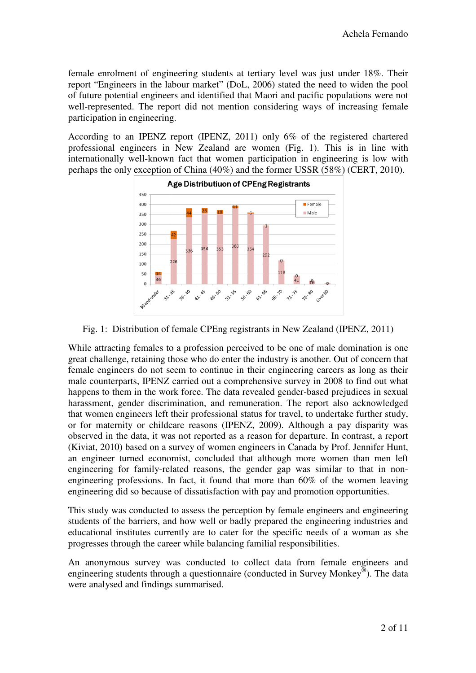female enrolment of engineering students at tertiary level was just under 18%. Their report "Engineers in the labour market" (DoL, 2006) stated the need to widen the pool of future potential engineers and identified that M Maori and pacific populations were not well-represented. The report did not mention considering ways of increasing female participation in engineering. of future potential engineers and identified that Maori and pacific populations were not well-represented. The report did not mention considering ways of increasing female participation in engineering.<br>According to an IPEN

professional engineers in New Zeal Zealand are women (Fig. 1). This is in line with internationally well-known fact that women participation in engineering is low with perhaps the only exception of China (40%) and the former USSR (58%) (CERT, 2010).



Fig. 1: Distribution of female CPEng registrants in New Zealand (IPENZ, 2011)

While attracting females to a profession perceived to be one of male domination is one great challenge, retaining those who do enter the industry is another. Out of concern that female engineers do not seem to continue in their engineering careers as long as their male counterparts, IPENZ carried out a comprehensive survey in 2008 to find out what happens to them in the work force. The data revealed gender-based prejudices in sexual harassment, gender discrimination, and remuneration. The report also acknowledged that women engineers left their professional status for travel, to undertake further study, or for maternity or childcare reasons (IPENZ, 2009). Although a pay disparity was observed in the data, it was not reported as a reason for departure. In contrast, a a report (Kiviat, 2010) based on a survey of women engineers in Canada by Prof. Jennifer Hunt, an engineer turned economist, concluded that although more women than men left engineering for family-related reasons, the gender gap was similar to that in nonengineering professions. In fact, it found that more than  $60\%$  of the women leaving engineering did so because of dissatisfaction with pay and promotion opportunities.

This study was conducted to assess the perception by female engineers and engineering students of the barriers, and how well or badly prepared the engineering industries and educational institutes currently are to cater for the specific needs of a woman as she progresses through the career while balancing familial responsibilities.

An anonymous survey was conducted to collect data from female engineers and engineering students through a questionnaire (conducted in Survey Monkey®). The data were analysed and findings summarised.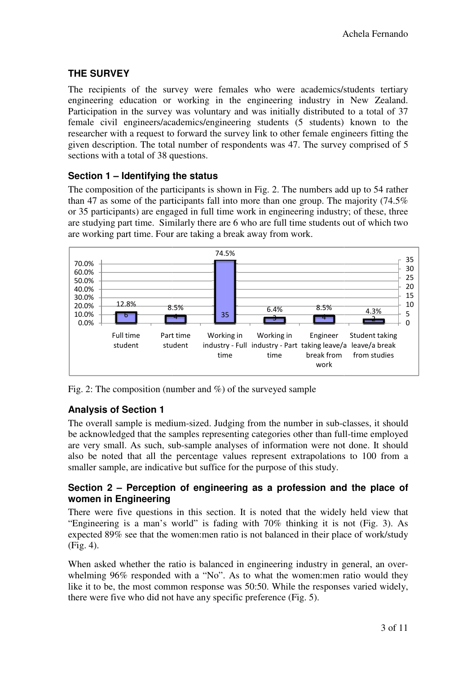# **THE SURVEY**

The recipients of the survey were females who were academics/students tertiary engineering education or working in the engineering industry in New Zealand. Participation in the survey was voluntary and was initially distributed to a total of 37 female civil engineers/academics/engineering students (5 students) known to the researcher with a request to forward the survey link to other female engineers fitting the given description. The total number of respondents was 47. The survey comprised of 5 sections with a total of 38 questions.

## **Section 1 – Identifying the status**

The composition of the participants is shown in Fig. 2. The numbers add up to 54 rather than 47 as some of the participants fall into more than one group. The majority (74.5% or 35 participants) are engaged in full time work in engineering industry; of these, three are studying part time. Similarly there are 6 who are full time students out of which two are working part time. Four are taking a break away from work.



Fig. 2: The composition (number and %) of the surveyed sample

### **Analysis of Section 1**

The overall sample is medium-sized. Judging from the number in sub-classes, it should be acknowledged that the samples representing categories other than full-time employed are very small. As such, sub-sample analyses of information were not done. It should also be noted that all the percentage values represent extrapolations to 100 from a smaller sample, are indicative but suffice for the purpose of this study.

#### **Section 2 – Perception of engineering as a profession and the place of women in Engineering**

There were five questions in this section. It is noted that the widely held view that "Engineering is a man's world" is fading with  $70\%$  thinking it is not (Fig. 3). As expected 89% see that the women:men ratio is not balanced in their place of work/study (Fig. 4).

When asked whether the ratio is balanced in engineering industry in general, an overwhelming 96% responded with a "No". As to what the women:men ratio would they like it to be, the most common response was 50:50. While the responses varied widely, there were five who did not have any specific preference (Fig. 5).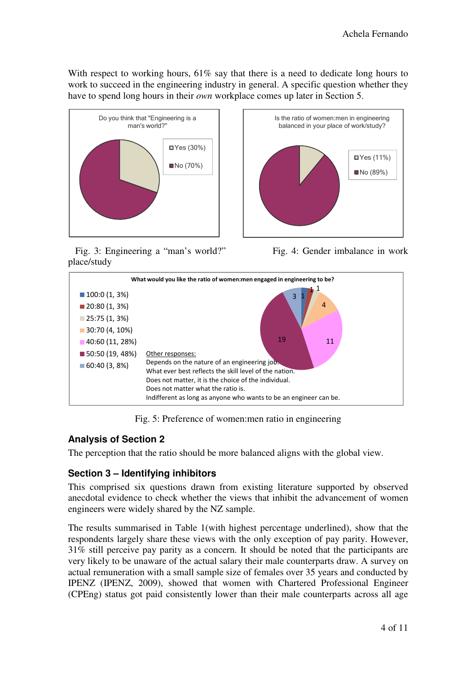With respect to working hours, 61% say that there is a need to dedicate long hours to work to succeed in the engineering industry in general. A specific question whether they have to spend long hours in their *own* workplace comes up later in Section 5.



 Fig. 3: Engineering a "man's world?" Fig. 4: Gender imbalance in work place/study





Fig. 5: Preference of women:men ratio in engineering

### **Analysis of Section 2**

The perception that the ratio should be more balanced aligns with the global view.

### **Section 3 – Identifying inhibitors**

This comprised six questions drawn from existing literature supported by observed anecdotal evidence to check whether the views that inhibit the advancement of women engineers were widely shared by the NZ sample.

The results summarised in Table 1(with highest percentage underlined), show that the respondents largely share these views with the only exception of pay parity. However, 31% still perceive pay parity as a concern. It should be noted that the participants are very likely to be unaware of the actual salary their male counterparts draw. A survey on actual remuneration with a small sample size of females over 35 years and conducted by IPENZ (IPENZ, 2009), showed that women with Chartered Professional Engineer (CPEng) status got paid consistently lower than their male counterparts across all age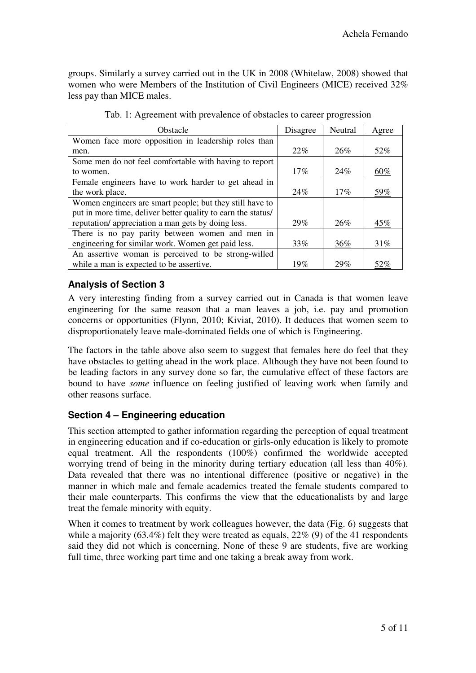groups. Similarly a survey carried out in the UK in 2008 (Whitelaw, 2008) showed that women who were Members of the Institution of Civil Engineers (MICE) received 32% less pay than MICE males.

| <b>Obstacle</b>                                              | Disagree | Neutral | Agree      |
|--------------------------------------------------------------|----------|---------|------------|
| Women face more opposition in leadership roles than          |          |         |            |
| men.                                                         | 22%      | 26%     | 52%        |
| Some men do not feel comfortable with having to report       |          |         |            |
| to women.                                                    | 17%      | 24%     | 60%        |
| Female engineers have to work harder to get ahead in         |          |         |            |
| the work place.                                              | 24%      | 17%     | <u>59%</u> |
| Women engineers are smart people; but they still have to     |          |         |            |
| put in more time, deliver better quality to earn the status/ |          |         |            |
| reputation/ appreciation a man gets by doing less.           | 29%      | 26%     | 45%        |
| There is no pay parity between women and men in              |          |         |            |
| engineering for similar work. Women get paid less.           | 33%      | 36%     | 31%        |
| An assertive woman is perceived to be strong-willed          |          |         |            |
| while a man is expected to be assertive.                     | 19%      | 29%     | 52%        |

|  | Tab. 1: Agreement with prevalence of obstacles to career progression |  |  |  |  |
|--|----------------------------------------------------------------------|--|--|--|--|
|  |                                                                      |  |  |  |  |

### **Analysis of Section 3**

A very interesting finding from a survey carried out in Canada is that women leave engineering for the same reason that a man leaves a job, i.e. pay and promotion concerns or opportunities (Flynn, 2010; Kiviat, 2010). It deduces that women seem to disproportionately leave male-dominated fields one of which is Engineering.

The factors in the table above also seem to suggest that females here do feel that they have obstacles to getting ahead in the work place. Although they have not been found to be leading factors in any survey done so far, the cumulative effect of these factors are bound to have *some* influence on feeling justified of leaving work when family and other reasons surface.

### **Section 4 – Engineering education**

This section attempted to gather information regarding the perception of equal treatment in engineering education and if co-education or girls-only education is likely to promote equal treatment. All the respondents (100%) confirmed the worldwide accepted worrying trend of being in the minority during tertiary education (all less than 40%). Data revealed that there was no intentional difference (positive or negative) in the manner in which male and female academics treated the female students compared to their male counterparts. This confirms the view that the educationalists by and large treat the female minority with equity.

When it comes to treatment by work colleagues however, the data (Fig. 6) suggests that while a majority  $(63.4\%)$  felt they were treated as equals,  $22\%$  (9) of the 41 respondents said they did not which is concerning. None of these 9 are students, five are working full time, three working part time and one taking a break away from work.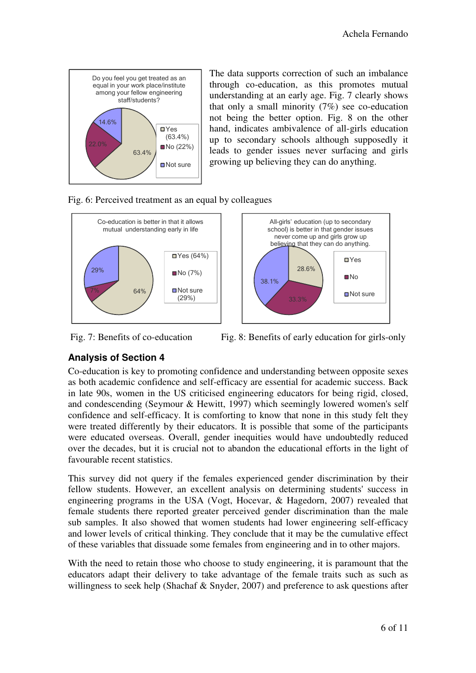

The data supports correction of such an imbalance through co-education, as this promotes mutual understanding at an early age. Fig. 7 clearly shows that only a small minority  $(7%)$  see co-education not being the better option. Fig. 8 on the other hand, indicates ambivalence of all-girls education up to secondary schools although supposedly it leads to gender issues never surfacing and girls growing up believing they can do anything.





Fig. 7: Benefits of co-education Fig. 8: Benefits of early education for girls-only

# **Analysis of Section 4**

Co-education is key to promoting confidence and understanding between opposite sexes as both academic confidence and self-efficacy are essential for academic success. Back in late 90s, women in the US criticised engineering educators for being rigid, closed, and condescending (Seymour & Hewitt, 1997) which seemingly lowered women's self confidence and self-efficacy. It is comforting to know that none in this study felt they were treated differently by their educators. It is possible that some of the participants were educated overseas. Overall, gender inequities would have undoubtedly reduced over the decades, but it is crucial not to abandon the educational efforts in the light of favourable recent statistics.

This survey did not query if the females experienced gender discrimination by their fellow students. However, an excellent analysis on determining students' success in engineering programs in the USA (Vogt, Hocevar, & Hagedorn, 2007) revealed that female students there reported greater perceived gender discrimination than the male sub samples. It also showed that women students had lower engineering self-efficacy and lower levels of critical thinking. They conclude that it may be the cumulative effect of these variables that dissuade some females from engineering and in to other majors.

With the need to retain those who choose to study engineering, it is paramount that the educators adapt their delivery to take advantage of the female traits such as such as willingness to seek help (Shachaf  $&$  Snyder, 2007) and preference to ask questions after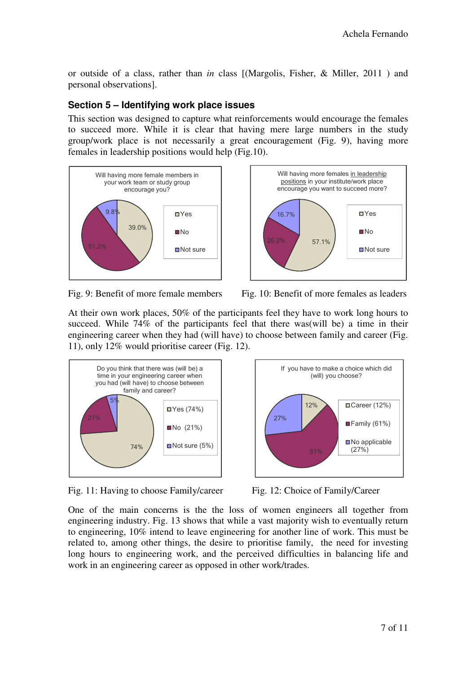or outside of a class, rather than *in* class [(Margolis, Fisher, & Miller, 2011 ) and personal observations].

# **Section 5 – Identifying work place issues**

This section was designed to capture what reinforcements would encourage the females to succeed more. While it is clear that having mere large numbers in the study group/work place is not necessarily a great encouragement (Fig. 9), having more females in leadership positions would help (Fig.10).





Fig. 9: Benefit of more female members Fig. 10: Benefit of more females as leaders

At their own work places, 50% of the participants feel they have to work long hours to succeed. While 74% of the participants feel that there was(will be) a time in their engineering career when they had (will have) to choose between family and career (Fig. 11), only 12% would prioritise career (Fig. 12).



Fig. 11: Having to choose Family/career Fig. 12: Choice of Family/Career



One of the main concerns is the the loss of women engineers all together from engineering industry. Fig. 13 shows that while a vast majority wish to eventually return to engineering, 10% intend to leave engineering for another line of work. This must be related to, among other things, the desire to prioritise family, the need for investing long hours to engineering work, and the perceived difficulties in balancing life and work in an engineering career as opposed in other work/trades.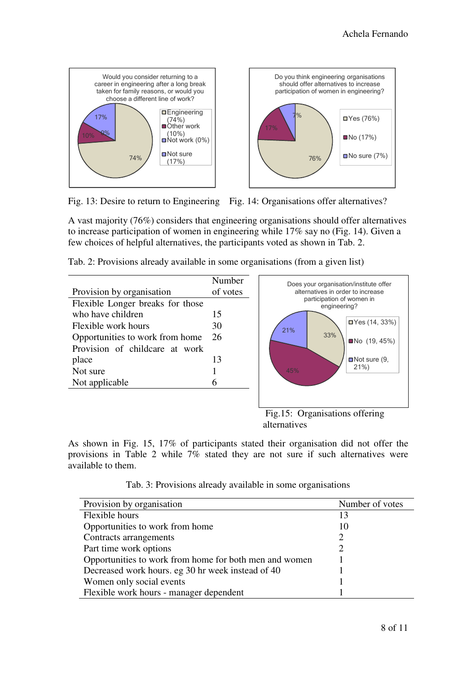

Fig. 13: Desire to return to Engineering Fig. 14: Organisations offer alternatives?

A vast majority (76%) considers that engineering organisations should offer alternatives to increase participation of women in engineering while 17% say no (Fig. 14). Given a few choices of helpful alternatives, the participants voted as shown in Tab. 2.

| Tab. 2: Provisions already available in some organisations (from a given list) |  |  |
|--------------------------------------------------------------------------------|--|--|
|                                                                                |  |  |

|                                  | Number   | Does you |
|----------------------------------|----------|----------|
| Provision by organisation        | of votes | alterna  |
| Flexible Longer breaks for those |          | par      |
| who have children                | 15       |          |
| Flexible work hours              | 30       | 21%      |
| Opportunities to work from home  | 26       |          |
| Provision of childcare at work   |          |          |
| place                            | 13       |          |
| Not sure                         |          | 45%      |
| Not applicable                   |          |          |
|                                  |          |          |
|                                  |          |          |



 Fig.15: Organisations offering alternatives

As shown in Fig. 15, 17% of participants stated their organisation did not offer the provisions in Table 2 while 7% stated they are not sure if such alternatives were available to them.

| Provision by organisation                              | Number of votes |
|--------------------------------------------------------|-----------------|
| Flexible hours                                         | 13              |
| Opportunities to work from home                        | 10              |
| Contracts arrangements                                 |                 |
| Part time work options                                 |                 |
| Opportunities to work from home for both men and women |                 |
| Decreased work hours. eg 30 hr week instead of 40      |                 |
| Women only social events                               |                 |
| Flexible work hours - manager dependent                |                 |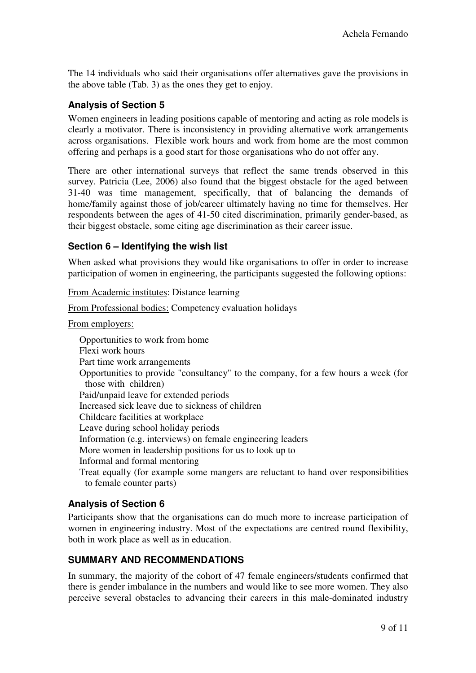The 14 individuals who said their organisations offer alternatives gave the provisions in the above table (Tab. 3) as the ones they get to enjoy.

### **Analysis of Section 5**

Women engineers in leading positions capable of mentoring and acting as role models is clearly a motivator. There is inconsistency in providing alternative work arrangements across organisations. Flexible work hours and work from home are the most common offering and perhaps is a good start for those organisations who do not offer any.

There are other international surveys that reflect the same trends observed in this survey. Patricia (Lee, 2006) also found that the biggest obstacle for the aged between 31-40 was time management, specifically, that of balancing the demands of home/family against those of job/career ultimately having no time for themselves. Her respondents between the ages of 41-50 cited discrimination, primarily gender-based, as their biggest obstacle, some citing age discrimination as their career issue.

#### **Section 6 – Identifying the wish list**

When asked what provisions they would like organisations to offer in order to increase participation of women in engineering, the participants suggested the following options:

From Academic institutes: Distance learning

From Professional bodies: Competency evaluation holidays

From employers:

Opportunities to work from home Flexi work hours Part time work arrangements Opportunities to provide "consultancy" to the company, for a few hours a week (for those with children) Paid/unpaid leave for extended periods Increased sick leave due to sickness of children Childcare facilities at workplace Leave during school holiday periods Information (e.g. interviews) on female engineering leaders More women in leadership positions for us to look up to Informal and formal mentoring Treat equally (for example some mangers are reluctant to hand over responsibilities to female counter parts)

#### **Analysis of Section 6**

Participants show that the organisations can do much more to increase participation of women in engineering industry. Most of the expectations are centred round flexibility, both in work place as well as in education.

#### **SUMMARY AND RECOMMENDATIONS**

In summary, the majority of the cohort of 47 female engineers/students confirmed that there is gender imbalance in the numbers and would like to see more women. They also perceive several obstacles to advancing their careers in this male-dominated industry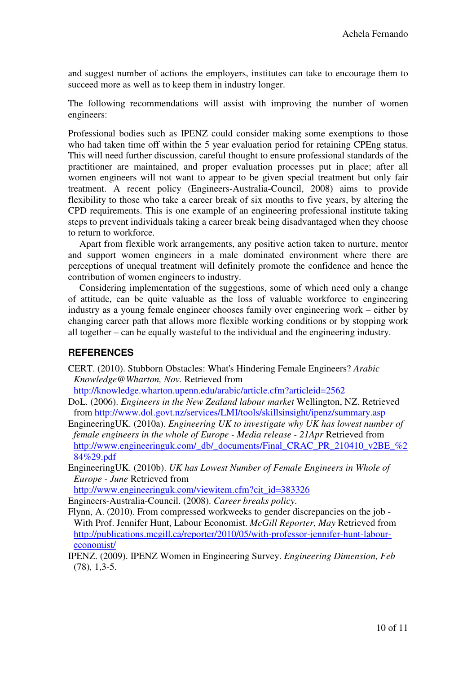and suggest number of actions the employers, institutes can take to encourage them to succeed more as well as to keep them in industry longer.

The following recommendations will assist with improving the number of women engineers:

Professional bodies such as IPENZ could consider making some exemptions to those who had taken time off within the 5 year evaluation period for retaining CPEng status. This will need further discussion, careful thought to ensure professional standards of the practitioner are maintained, and proper evaluation processes put in place; after all women engineers will not want to appear to be given special treatment but only fair treatment. A recent policy (Engineers-Australia-Council, 2008) aims to provide flexibility to those who take a career break of six months to five years, by altering the CPD requirements. This is one example of an engineering professional institute taking steps to prevent individuals taking a career break being disadvantaged when they choose to return to workforce.

Apart from flexible work arrangements, any positive action taken to nurture, mentor and support women engineers in a male dominated environment where there are perceptions of unequal treatment will definitely promote the confidence and hence the contribution of women engineers to industry.

Considering implementation of the suggestions, some of which need only a change of attitude, can be quite valuable as the loss of valuable workforce to engineering industry as a young female engineer chooses family over engineering work – either by changing career path that allows more flexible working conditions or by stopping work all together – can be equally wasteful to the individual and the engineering industry.

#### **REFERENCES**

CERT. (2010). Stubborn Obstacles: What's Hindering Female Engineers? *Arabic Knowledge@Wharton, Nov.* Retrieved from

http://knowledge.wharton.upenn.edu/arabic/article.cfm?articleid=2562

- DoL. (2006). *Engineers in the New Zealand labour market* Wellington, NZ. Retrieved from http://www.dol.govt.nz/services/LMI/tools/skillsinsight/ipenz/summary.asp
- EngineeringUK. (2010a). *Engineering UK to investigate why UK has lowest number of female engineers in the whole of Europe - Media release - 21Apr Retrieved from* http://www.engineeringuk.com/\_db/\_documents/Final\_CRAC\_PR\_210410\_v2BE\_%2 84%29.pdf
- EngineeringUK. (2010b). *UK has Lowest Number of Female Engineers in Whole of Europe - June* Retrieved from

http://www.engineeringuk.com/viewitem.cfm?cit\_id=383326

Engineers-Australia-Council. (2008). *Career breaks policy*.

- Flynn, A. (2010). From compressed workweeks to gender discrepancies on the job With Prof. Jennifer Hunt, Labour Economist. *McGill Reporter, May* Retrieved from http://publications.mcgill.ca/reporter/2010/05/with-professor-jennifer-hunt-laboureconomist/
- IPENZ. (2009). IPENZ Women in Engineering Survey. *Engineering Dimension, Feb*  (78)*,* 1,3-5.